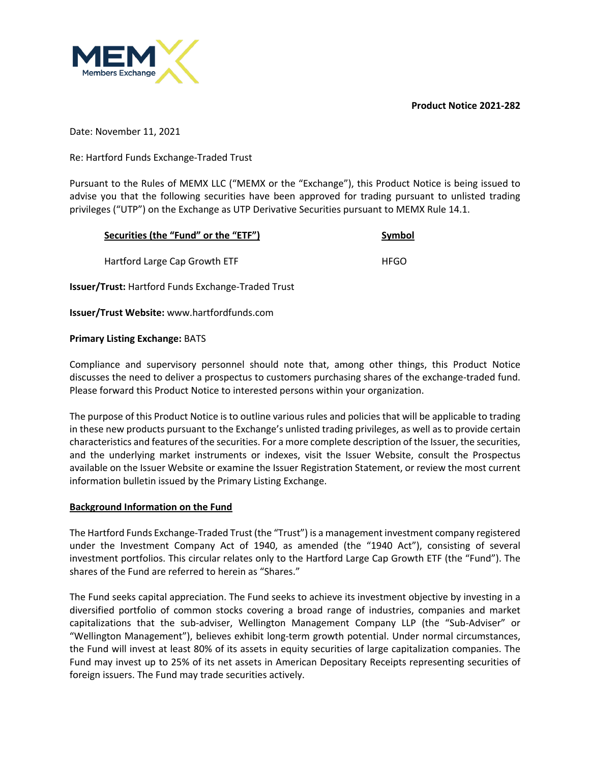**Product Notice 2021-282**



Date: November 11, 2021

Re: Hartford Funds Exchange-Traded Trust

Pursuant to the Rules of MEMX LLC ("MEMX or the "Exchange"), this Product Notice is being issued to advise you that the following securities have been approved for trading pursuant to unlisted trading privileges ("UTP") on the Exchange as UTP Derivative Securities pursuant to MEMX Rule 14.1.

| Securities (the "Fund" or the "ETF")                      | Symbol      |
|-----------------------------------------------------------|-------------|
| Hartford Large Cap Growth ETF                             | <b>HFGO</b> |
| <b>Issuer/Trust:</b> Hartford Funds Exchange-Traded Trust |             |

**Issuer/Trust Website:** www.hartfordfunds.com

## **Primary Listing Exchange:** BATS

Compliance and supervisory personnel should note that, among other things, this Product Notice discusses the need to deliver a prospectus to customers purchasing shares of the exchange-traded fund. Please forward this Product Notice to interested persons within your organization.

The purpose of this Product Notice is to outline various rules and policies that will be applicable to trading in these new products pursuant to the Exchange's unlisted trading privileges, as well as to provide certain characteristics and features of the securities. For a more complete description of the Issuer, the securities, and the underlying market instruments or indexes, visit the Issuer Website, consult the Prospectus available on the Issuer Website or examine the Issuer Registration Statement, or review the most current information bulletin issued by the Primary Listing Exchange.

## **Background Information on the Fund**

The Hartford Funds Exchange-Traded Trust (the "Trust") is a management investment company registered under the Investment Company Act of 1940, as amended (the "1940 Act"), consisting of several investment portfolios. This circular relates only to the Hartford Large Cap Growth ETF (the "Fund"). The shares of the Fund are referred to herein as "Shares."

The Fund seeks capital appreciation. The Fund seeks to achieve its investment objective by investing in a diversified portfolio of common stocks covering a broad range of industries, companies and market capitalizations that the sub-adviser, Wellington Management Company LLP (the "Sub-Adviser" or "Wellington Management"), believes exhibit long-term growth potential. Under normal circumstances, the Fund will invest at least 80% of its assets in equity securities of large capitalization companies. The Fund may invest up to 25% of its net assets in American Depositary Receipts representing securities of foreign issuers. The Fund may trade securities actively.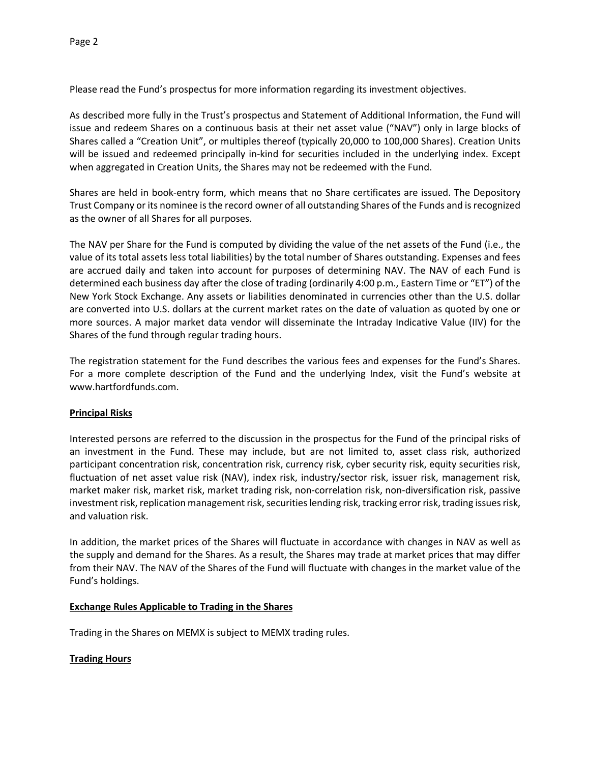Please read the Fund's prospectus for more information regarding its investment objectives.

As described more fully in the Trust's prospectus and Statement of Additional Information, the Fund will issue and redeem Shares on a continuous basis at their net asset value ("NAV") only in large blocks of Shares called a "Creation Unit", or multiples thereof (typically 20,000 to 100,000 Shares). Creation Units will be issued and redeemed principally in-kind for securities included in the underlying index. Except when aggregated in Creation Units, the Shares may not be redeemed with the Fund.

Shares are held in book-entry form, which means that no Share certificates are issued. The Depository Trust Company or its nominee is the record owner of all outstanding Shares of the Funds and is recognized as the owner of all Shares for all purposes.

The NAV per Share for the Fund is computed by dividing the value of the net assets of the Fund (i.e., the value of its total assets less total liabilities) by the total number of Shares outstanding. Expenses and fees are accrued daily and taken into account for purposes of determining NAV. The NAV of each Fund is determined each business day after the close of trading (ordinarily 4:00 p.m., Eastern Time or "ET") of the New York Stock Exchange. Any assets or liabilities denominated in currencies other than the U.S. dollar are converted into U.S. dollars at the current market rates on the date of valuation as quoted by one or more sources. A major market data vendor will disseminate the Intraday Indicative Value (IIV) for the Shares of the fund through regular trading hours.

The registration statement for the Fund describes the various fees and expenses for the Fund's Shares. For a more complete description of the Fund and the underlying Index, visit the Fund's website at www.hartfordfunds.com.

### **Principal Risks**

Interested persons are referred to the discussion in the prospectus for the Fund of the principal risks of an investment in the Fund. These may include, but are not limited to, asset class risk, authorized participant concentration risk, concentration risk, currency risk, cyber security risk, equity securities risk, fluctuation of net asset value risk (NAV), index risk, industry/sector risk, issuer risk, management risk, market maker risk, market risk, market trading risk, non-correlation risk, non-diversification risk, passive investment risk, replication management risk, securities lending risk, tracking error risk, trading issues risk, and valuation risk.

In addition, the market prices of the Shares will fluctuate in accordance with changes in NAV as well as the supply and demand for the Shares. As a result, the Shares may trade at market prices that may differ from their NAV. The NAV of the Shares of the Fund will fluctuate with changes in the market value of the Fund's holdings.

### **Exchange Rules Applicable to Trading in the Shares**

Trading in the Shares on MEMX is subject to MEMX trading rules.

### **Trading Hours**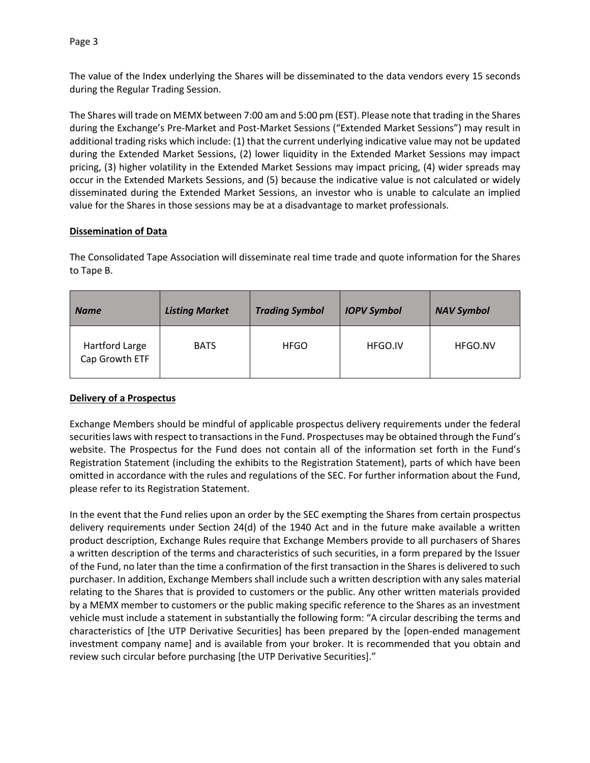Page 3

The value of the Index underlying the Shares will be disseminated to the data vendors every 15 seconds during the Regular Trading Session.

The Shares will trade on MEMX between 7:00 am and 5:00 pm (EST). Please note that trading in the Shares during the Exchange's Pre-Market and Post-Market Sessions ("Extended Market Sessions") may result in additional trading risks which include: (1) that the current underlying indicative value may not be updated during the Extended Market Sessions, (2) lower liquidity in the Extended Market Sessions may impact pricing, (3) higher volatility in the Extended Market Sessions may impact pricing, (4) wider spreads may occur in the Extended Markets Sessions, and (5) because the indicative value is not calculated or widely disseminated during the Extended Market Sessions, an investor who is unable to calculate an implied value for the Shares in those sessions may be at a disadvantage to market professionals.

## **Dissemination of Data**

The Consolidated Tape Association will disseminate real time trade and quote information for the Shares to Tape B.

| <b>Name</b>                      | <b>Listing Market</b> | <b>Trading Symbol</b> | <b>IOPV Symbol</b> | <b>NAV Symbol</b> |
|----------------------------------|-----------------------|-----------------------|--------------------|-------------------|
| Hartford Large<br>Cap Growth ETF | <b>BATS</b>           | <b>HFGO</b>           | HFGO.IV            | HFGO.NV           |

## **Delivery of a Prospectus**

Exchange Members should be mindful of applicable prospectus delivery requirements under the federal securities laws with respect to transactions in the Fund. Prospectuses may be obtained through the Fund's website. The Prospectus for the Fund does not contain all of the information set forth in the Fund's Registration Statement (including the exhibits to the Registration Statement), parts of which have been omitted in accordance with the rules and regulations of the SEC. For further information about the Fund, please refer to its Registration Statement.

In the event that the Fund relies upon an order by the SEC exempting the Shares from certain prospectus delivery requirements under Section 24(d) of the 1940 Act and in the future make available a written product description, Exchange Rules require that Exchange Members provide to all purchasers of Shares a written description of the terms and characteristics of such securities, in a form prepared by the Issuer of the Fund, no later than the time a confirmation of the first transaction in the Shares is delivered to such purchaser. In addition, Exchange Members shall include such a written description with any sales material relating to the Shares that is provided to customers or the public. Any other written materials provided by a MEMX member to customers or the public making specific reference to the Shares as an investment vehicle must include a statement in substantially the following form: "A circular describing the terms and characteristics of [the UTP Derivative Securities] has been prepared by the [open-ended management investment company name] and is available from your broker. It is recommended that you obtain and review such circular before purchasing [the UTP Derivative Securities]."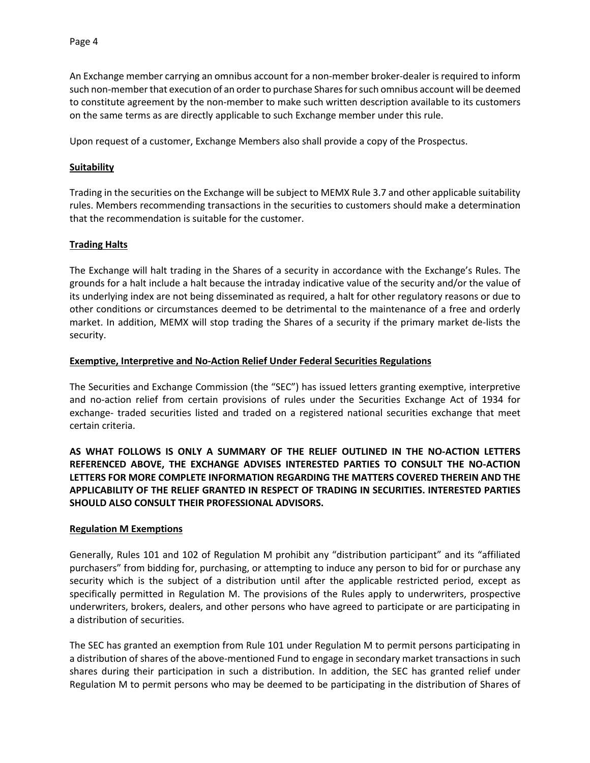An Exchange member carrying an omnibus account for a non-member broker-dealer is required to inform such non-member that execution of an order to purchase Shares for such omnibus account will be deemed to constitute agreement by the non-member to make such written description available to its customers on the same terms as are directly applicable to such Exchange member under this rule.

Upon request of a customer, Exchange Members also shall provide a copy of the Prospectus.

### **Suitability**

Trading in the securities on the Exchange will be subject to MEMX Rule 3.7 and other applicable suitability rules. Members recommending transactions in the securities to customers should make a determination that the recommendation is suitable for the customer.

### **Trading Halts**

The Exchange will halt trading in the Shares of a security in accordance with the Exchange's Rules. The grounds for a halt include a halt because the intraday indicative value of the security and/or the value of its underlying index are not being disseminated as required, a halt for other regulatory reasons or due to other conditions or circumstances deemed to be detrimental to the maintenance of a free and orderly market. In addition, MEMX will stop trading the Shares of a security if the primary market de-lists the security.

### **Exemptive, Interpretive and No-Action Relief Under Federal Securities Regulations**

The Securities and Exchange Commission (the "SEC") has issued letters granting exemptive, interpretive and no-action relief from certain provisions of rules under the Securities Exchange Act of 1934 for exchange- traded securities listed and traded on a registered national securities exchange that meet certain criteria.

**AS WHAT FOLLOWS IS ONLY A SUMMARY OF THE RELIEF OUTLINED IN THE NO-ACTION LETTERS REFERENCED ABOVE, THE EXCHANGE ADVISES INTERESTED PARTIES TO CONSULT THE NO-ACTION LETTERS FOR MORE COMPLETE INFORMATION REGARDING THE MATTERS COVERED THEREIN AND THE APPLICABILITY OF THE RELIEF GRANTED IN RESPECT OF TRADING IN SECURITIES. INTERESTED PARTIES SHOULD ALSO CONSULT THEIR PROFESSIONAL ADVISORS.**

### **Regulation M Exemptions**

Generally, Rules 101 and 102 of Regulation M prohibit any "distribution participant" and its "affiliated purchasers" from bidding for, purchasing, or attempting to induce any person to bid for or purchase any security which is the subject of a distribution until after the applicable restricted period, except as specifically permitted in Regulation M. The provisions of the Rules apply to underwriters, prospective underwriters, brokers, dealers, and other persons who have agreed to participate or are participating in a distribution of securities.

The SEC has granted an exemption from Rule 101 under Regulation M to permit persons participating in a distribution of shares of the above-mentioned Fund to engage in secondary market transactions in such shares during their participation in such a distribution. In addition, the SEC has granted relief under Regulation M to permit persons who may be deemed to be participating in the distribution of Shares of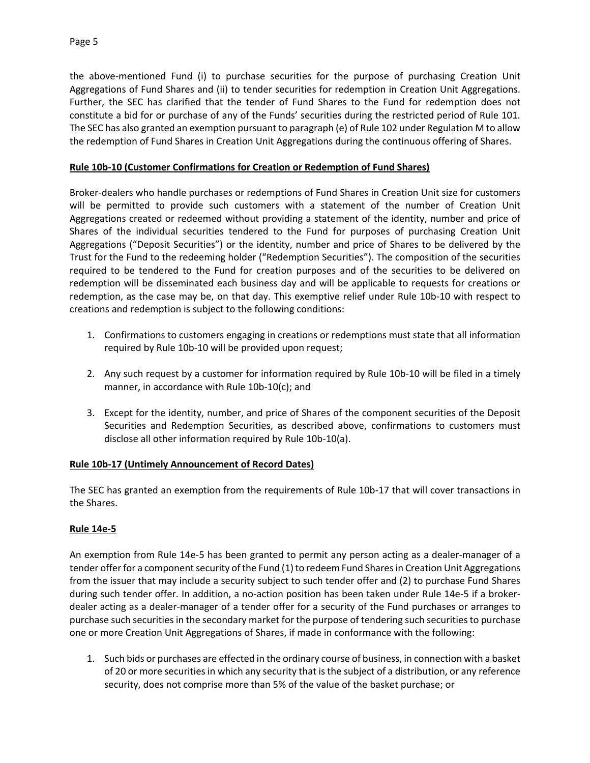the above-mentioned Fund (i) to purchase securities for the purpose of purchasing Creation Unit Aggregations of Fund Shares and (ii) to tender securities for redemption in Creation Unit Aggregations. Further, the SEC has clarified that the tender of Fund Shares to the Fund for redemption does not constitute a bid for or purchase of any of the Funds' securities during the restricted period of Rule 101. The SEC has also granted an exemption pursuant to paragraph (e) of Rule 102 under Regulation M to allow the redemption of Fund Shares in Creation Unit Aggregations during the continuous offering of Shares.

## **Rule 10b-10 (Customer Confirmations for Creation or Redemption of Fund Shares)**

Broker-dealers who handle purchases or redemptions of Fund Shares in Creation Unit size for customers will be permitted to provide such customers with a statement of the number of Creation Unit Aggregations created or redeemed without providing a statement of the identity, number and price of Shares of the individual securities tendered to the Fund for purposes of purchasing Creation Unit Aggregations ("Deposit Securities") or the identity, number and price of Shares to be delivered by the Trust for the Fund to the redeeming holder ("Redemption Securities"). The composition of the securities required to be tendered to the Fund for creation purposes and of the securities to be delivered on redemption will be disseminated each business day and will be applicable to requests for creations or redemption, as the case may be, on that day. This exemptive relief under Rule 10b-10 with respect to creations and redemption is subject to the following conditions:

- 1. Confirmations to customers engaging in creations or redemptions must state that all information required by Rule 10b-10 will be provided upon request;
- 2. Any such request by a customer for information required by Rule 10b-10 will be filed in a timely manner, in accordance with Rule 10b-10(c); and
- 3. Except for the identity, number, and price of Shares of the component securities of the Deposit Securities and Redemption Securities, as described above, confirmations to customers must disclose all other information required by Rule 10b-10(a).

## **Rule 10b-17 (Untimely Announcement of Record Dates)**

The SEC has granted an exemption from the requirements of Rule 10b-17 that will cover transactions in the Shares.

## **Rule 14e-5**

An exemption from Rule 14e-5 has been granted to permit any person acting as a dealer-manager of a tender offer for a component security of the Fund (1) to redeem Fund Shares in Creation Unit Aggregations from the issuer that may include a security subject to such tender offer and (2) to purchase Fund Shares during such tender offer. In addition, a no-action position has been taken under Rule 14e-5 if a brokerdealer acting as a dealer-manager of a tender offer for a security of the Fund purchases or arranges to purchase such securities in the secondary market for the purpose of tendering such securities to purchase one or more Creation Unit Aggregations of Shares, if made in conformance with the following:

1. Such bids or purchases are effected in the ordinary course of business, in connection with a basket of 20 or more securities in which any security that is the subject of a distribution, or any reference security, does not comprise more than 5% of the value of the basket purchase; or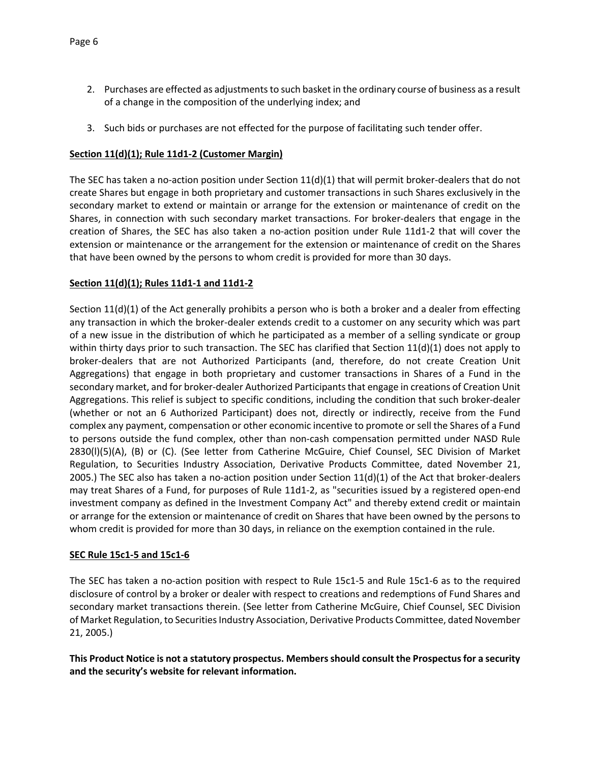- 2. Purchases are effected as adjustments to such basket in the ordinary course of business as a result of a change in the composition of the underlying index; and
- 3. Such bids or purchases are not effected for the purpose of facilitating such tender offer.

# **Section 11(d)(1); Rule 11d1-2 (Customer Margin)**

The SEC has taken a no-action position under Section  $11(d)(1)$  that will permit broker-dealers that do not create Shares but engage in both proprietary and customer transactions in such Shares exclusively in the secondary market to extend or maintain or arrange for the extension or maintenance of credit on the Shares, in connection with such secondary market transactions. For broker-dealers that engage in the creation of Shares, the SEC has also taken a no-action position under Rule 11d1-2 that will cover the extension or maintenance or the arrangement for the extension or maintenance of credit on the Shares that have been owned by the persons to whom credit is provided for more than 30 days.

# **Section 11(d)(1); Rules 11d1-1 and 11d1-2**

Section 11(d)(1) of the Act generally prohibits a person who is both a broker and a dealer from effecting any transaction in which the broker-dealer extends credit to a customer on any security which was part of a new issue in the distribution of which he participated as a member of a selling syndicate or group within thirty days prior to such transaction. The SEC has clarified that Section 11(d)(1) does not apply to broker-dealers that are not Authorized Participants (and, therefore, do not create Creation Unit Aggregations) that engage in both proprietary and customer transactions in Shares of a Fund in the secondary market, and for broker-dealer Authorized Participants that engage in creations of Creation Unit Aggregations. This relief is subject to specific conditions, including the condition that such broker-dealer (whether or not an 6 Authorized Participant) does not, directly or indirectly, receive from the Fund complex any payment, compensation or other economic incentive to promote or sell the Shares of a Fund to persons outside the fund complex, other than non-cash compensation permitted under NASD Rule 2830(l)(5)(A), (B) or (C). (See letter from Catherine McGuire, Chief Counsel, SEC Division of Market Regulation, to Securities Industry Association, Derivative Products Committee, dated November 21, 2005.) The SEC also has taken a no-action position under Section  $11(d)(1)$  of the Act that broker-dealers may treat Shares of a Fund, for purposes of Rule 11d1-2, as "securities issued by a registered open-end investment company as defined in the Investment Company Act" and thereby extend credit or maintain or arrange for the extension or maintenance of credit on Shares that have been owned by the persons to whom credit is provided for more than 30 days, in reliance on the exemption contained in the rule.

## **SEC Rule 15c1-5 and 15c1-6**

The SEC has taken a no-action position with respect to Rule 15c1-5 and Rule 15c1-6 as to the required disclosure of control by a broker or dealer with respect to creations and redemptions of Fund Shares and secondary market transactions therein. (See letter from Catherine McGuire, Chief Counsel, SEC Division of Market Regulation, to Securities Industry Association, Derivative Products Committee, dated November 21, 2005.)

**This Product Notice is not a statutory prospectus. Members should consult the Prospectus for a security and the security's website for relevant information.**